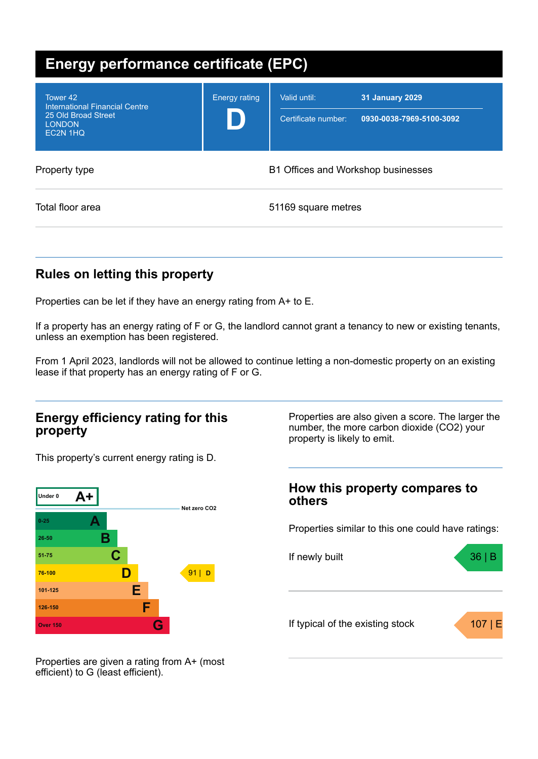| <b>Energy performance certificate (EPC)</b>                                                           |                      |                                     |                                                    |  |  |
|-------------------------------------------------------------------------------------------------------|----------------------|-------------------------------------|----------------------------------------------------|--|--|
| Tower 42<br><b>International Financial Centre</b><br>25 Old Broad Street<br><b>LONDON</b><br>EC2N 1HQ | <b>Energy rating</b> | Valid until:<br>Certificate number: | <b>31 January 2029</b><br>0930-0038-7969-5100-3092 |  |  |
| Property type                                                                                         |                      | B1 Offices and Workshop businesses  |                                                    |  |  |
| Total floor area                                                                                      |                      | 51169 square metres                 |                                                    |  |  |

## **Rules on letting this property**

Properties can be let if they have an energy rating from A+ to E.

If a property has an energy rating of F or G, the landlord cannot grant a tenancy to new or existing tenants, unless an exemption has been registered.

From 1 April 2023, landlords will not be allowed to continue letting a non-domestic property on an existing lease if that property has an energy rating of F or G.

## **Energy efficiency rating for this property**

This property's current energy rating is D.



Properties are also given a score. The larger the number, the more carbon dioxide (CO2) your property is likely to emit.

### **How this property compares to others**

Properties similar to this one could have ratings:



Properties are given a rating from A+ (most efficient) to G (least efficient).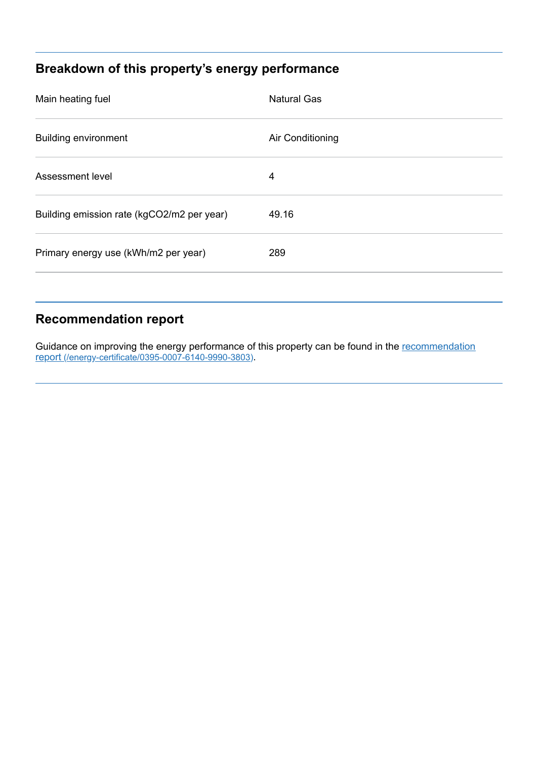## **Breakdown of this property's energy performance**

| Main heating fuel                          | <b>Natural Gas</b> |
|--------------------------------------------|--------------------|
| <b>Building environment</b>                | Air Conditioning   |
| Assessment level                           | 4                  |
| Building emission rate (kgCO2/m2 per year) | 49.16              |
| Primary energy use (kWh/m2 per year)       | 289                |
|                                            |                    |

# **Recommendation report**

Guidance on improving the energy performance of this property can be found in the recommendation report [\(/energy-certificate/0395-0007-6140-9990-3803\)](https://find-energy-certificate.digital.communities.gov.uk/energy-certificate/0395-0007-6140-9990-3803).